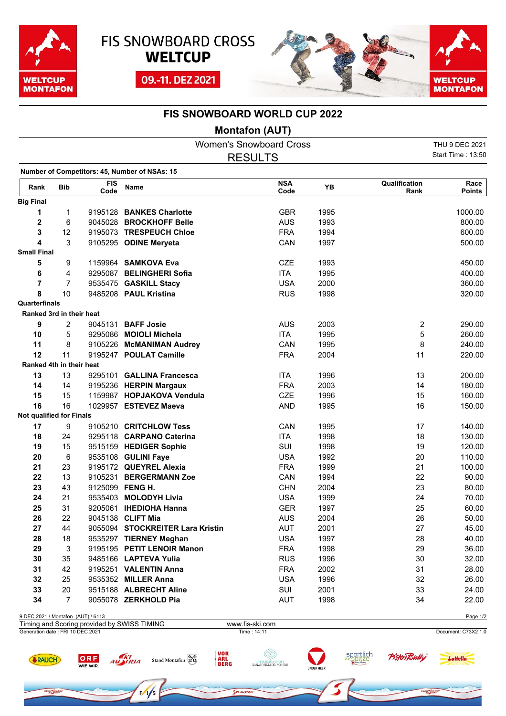





## **FIS SNOWBOARD WORLD CUP 2022**

## **Montafon (AUT)**

|                                    |                |                    |                                               | <b>Women's Snowboard Cross</b> |      |                         | THU 9 DEC 2021        |
|------------------------------------|----------------|--------------------|-----------------------------------------------|--------------------------------|------|-------------------------|-----------------------|
|                                    |                |                    |                                               | <b>RESULTS</b>                 |      |                         | Start Time: 13:50     |
|                                    |                |                    | Number of Competitors: 45, Number of NSAs: 15 |                                |      |                         |                       |
| Rank                               | <b>Bib</b>     | <b>FIS</b><br>Code | Name                                          | <b>NSA</b><br>Code             | YB   | Qualification<br>Rank   | Race<br><b>Points</b> |
| <b>Big Final</b>                   |                |                    |                                               |                                |      |                         |                       |
| 1                                  | 1              |                    | 9195128 BANKES Charlotte                      | <b>GBR</b>                     | 1995 |                         | 1000.00               |
| $\mathbf 2$                        | 6              |                    | 9045028 BROCKHOFF Belle                       | <b>AUS</b>                     | 1993 |                         | 800.00                |
| 3                                  | 12             |                    | 9195073 TRESPEUCH Chloe                       | <b>FRA</b>                     | 1994 |                         | 600.00                |
| 4                                  | 3              |                    | 9105295 ODINE Meryeta                         | CAN                            | 1997 |                         | 500.00                |
| <b>Small Final</b>                 |                |                    |                                               |                                |      |                         |                       |
| 5                                  | 9              |                    | 1159964 SAMKOVA Eva                           | <b>CZE</b>                     | 1993 |                         | 450.00                |
| 6                                  | 4              |                    | 9295087 BELINGHERI Sofia                      | <b>ITA</b>                     | 1995 |                         | 400.00                |
| $\overline{\mathbf{r}}$            | $\overline{7}$ |                    | 9535475 GASKILL Stacy                         | <b>USA</b>                     | 2000 |                         | 360.00                |
| 8                                  | 10             |                    | 9485208 PAUL Kristina                         | <b>RUS</b>                     | 1998 |                         | 320.00                |
| Quarterfinals                      |                |                    |                                               |                                |      |                         |                       |
| Ranked 3rd in their heat           |                |                    |                                               |                                |      |                         |                       |
| 9                                  | 2              |                    | 9045131 BAFF Josie                            | <b>AUS</b>                     | 2003 | $\overline{\mathbf{c}}$ | 290.00                |
| 10                                 | 5              |                    | 9295086 MOIOLI Michela                        | <b>ITA</b>                     | 1995 | 5                       | 260.00                |
| 11                                 | 8              |                    | 9105226 McMANIMAN Audrey                      | CAN                            | 1995 | 8                       | 240.00                |
| 12                                 | 11             |                    | 9195247 POULAT Camille                        | <b>FRA</b>                     | 2004 | 11                      | 220.00                |
| Ranked 4th in their heat           |                |                    |                                               |                                |      |                         |                       |
| 13                                 | 13             | 9295101            | <b>GALLINA Francesca</b>                      | <b>ITA</b>                     | 1996 | 13                      | 200.00                |
| 14                                 | 14             |                    | 9195236 HERPIN Margaux                        | <b>FRA</b>                     | 2003 | 14                      | 180.00                |
| 15                                 | 15             |                    | 1159987 HOPJAKOVA Vendula                     | <b>CZE</b>                     | 1996 | 15                      | 160.00                |
| 16                                 | 16             |                    | 1029957 ESTEVEZ Maeva                         | <b>AND</b>                     | 1995 | 16                      | 150.00                |
| Not qualified for Finals           |                |                    |                                               |                                |      |                         |                       |
| 17                                 | 9              |                    | 9105210 CRITCHLOW Tess                        | CAN                            | 1995 | 17                      | 140.00                |
| 18                                 | 24             |                    | 9295118 CARPANO Caterina                      | <b>ITA</b>                     | 1998 | 18                      | 130.00                |
| 19                                 | 15             |                    | 9515159 HEDIGER Sophie                        | SUI                            | 1998 | 19                      | 120.00                |
| 20                                 | 6              |                    | 9535108 GULINI Faye                           | <b>USA</b>                     | 1992 | 20                      | 110.00                |
| 21                                 | 23             |                    | 9195172 QUEYREL Alexia                        | <b>FRA</b>                     | 1999 | 21                      | 100.00                |
| 22                                 | 13             |                    | 9105231 BERGERMANN Zoe                        | CAN                            | 1994 | 22                      | 90.00                 |
| 23                                 | 43             |                    | 9125099 FENG H.                               | <b>CHN</b>                     | 2004 | 23                      | 80.00                 |
| 24                                 | 21             |                    | 9535403 MOLODYH Livia                         | <b>USA</b>                     | 1999 | 24                      | 70.00                 |
| 25                                 | 31             |                    | 9205061 IHEDIOHA Hanna                        | <b>GER</b>                     | 1997 | 25                      | 60.00                 |
| 26                                 | 22             |                    | 9045138 CLIFT Mia                             | <b>AUS</b>                     | 2004 | 26                      | 50.00                 |
| 27                                 | 44             |                    | 9055094 STOCKREITER Lara Kristin              | <b>AUT</b>                     | 2001 | 27                      | 45.00                 |
| 28                                 | 18             |                    | 9535297 TIERNEY Meghan                        | <b>USA</b>                     | 1997 | 28                      | 40.00                 |
| 29                                 | 3              |                    | 9195195 PETIT LENOIR Manon                    | <b>FRA</b>                     | 1998 | 29                      | 36.00                 |
| 30                                 | 35             |                    | 9485166 LAPTEVA Yulia                         | <b>RUS</b>                     | 1996 | 30                      | 32.00                 |
| 31                                 | 42             |                    | 9195251 VALENTIN Anna                         | <b>FRA</b>                     | 2002 | 31                      | 28.00                 |
| 32                                 | 25             |                    | 9535352 MILLER Anna                           | <b>USA</b>                     | 1996 | 32                      | 26.00                 |
| 33                                 | 20             |                    | 9515188 ALBRECHT Aline                        | SUI                            | 2001 | 33                      | 24.00                 |
| 34                                 | 7              |                    | 9055078 ZERKHOLD Pia                          | <b>AUT</b>                     | 1998 | 34                      | 22.00                 |
| 9 DEC 2021 / Montafon (AUT) / 6113 |                |                    |                                               |                                |      |                         | Page 1/2              |
|                                    |                |                    | Timing and Scoring provided by SWISS TIMING   | www.fis-ski.com                |      |                         |                       |
| Generation date : FRI 10 DEC 2021  |                |                    |                                               | Time: 14:11                    |      |                         | Document: C73X2 1.0   |

**SRAUCH** 

ne Choal

ORF<br>WIE WIR

AU TRIA

**CHIRURGIE & SPORT**<br>SANATORIUM DR. SCHENK

VOR<br>ARL<br>BERG

Stand Montafon

sportlich